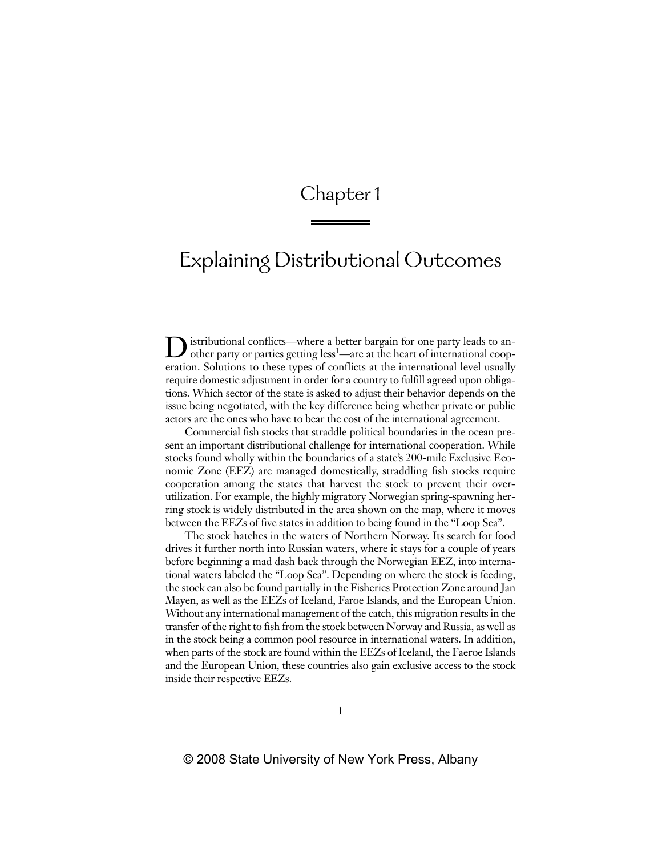# Chapter 1

# Explaining Distributional Outcomes

Distributional conflicts—where a better bargain for one party leads to an-<br>other party or parties getting less<sup>1</sup>—are at the heart of international cooperation. Solutions to these types of conflicts at the international level usually require domestic adjustment in order for a country to fulfill agreed upon obligations. Which sector of the state is asked to adjust their behavior depends on the issue being negotiated, with the key difference being whether private or public actors are the ones who have to bear the cost of the international agreement.

Commercial fish stocks that straddle political boundaries in the ocean present an important distributional challenge for international cooperation. While stocks found wholly within the boundaries of a state's 200-mile Exclusive Economic Zone (EEZ) are managed domestically, straddling fish stocks require cooperation among the states that harvest the stock to prevent their overutilization. For example, the highly migratory Norwegian spring-spawning herring stock is widely distributed in the area shown on the map, where it moves between the EEZs of five states in addition to being found in the "Loop Sea".

The stock hatches in the waters of Northern Norway. Its search for food drives it further north into Russian waters, where it stays for a couple of years before beginning a mad dash back through the Norwegian EEZ, into international waters labeled the "Loop Sea". Depending on where the stock is feeding, the stock can also be found partially in the Fisheries Protection Zone around Jan Mayen, as well as the EEZs of Iceland, Faroe Islands, and the European Union. Without any international management of the catch, this migration results in the transfer of the right to fish from the stock between Norway and Russia, as well as in the stock being a common pool resource in international waters. In addition, when parts of the stock are found within the EEZs of Iceland, the Faeroe Islands and the European Union, these countries also gain exclusive access to the stock inside their respective EEZs.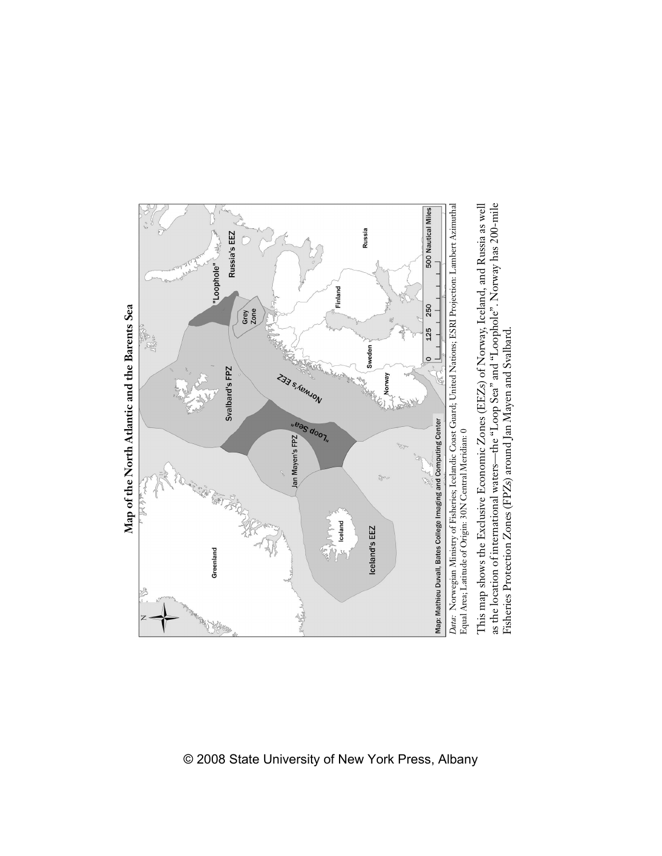



This map shows the Exclusive Economic Zones (EEZs) of Norway, Iceland, and Russia as well as the location of international waters-the "Loop Sea" and "Loophole". Norway has 200-mile This map shows the Exclusive Economic Zones (EEZs) of Norway, Iceland, and Russia as well as the location of international waters—the "Loop Sea" and "Loophole". Norway has 200-mile Fisheries Protection Zones (FPZs) around Jan Mayen and Svalbard. Fisheries Protection Zones (FPZs) around Jan Mayen and Svalbard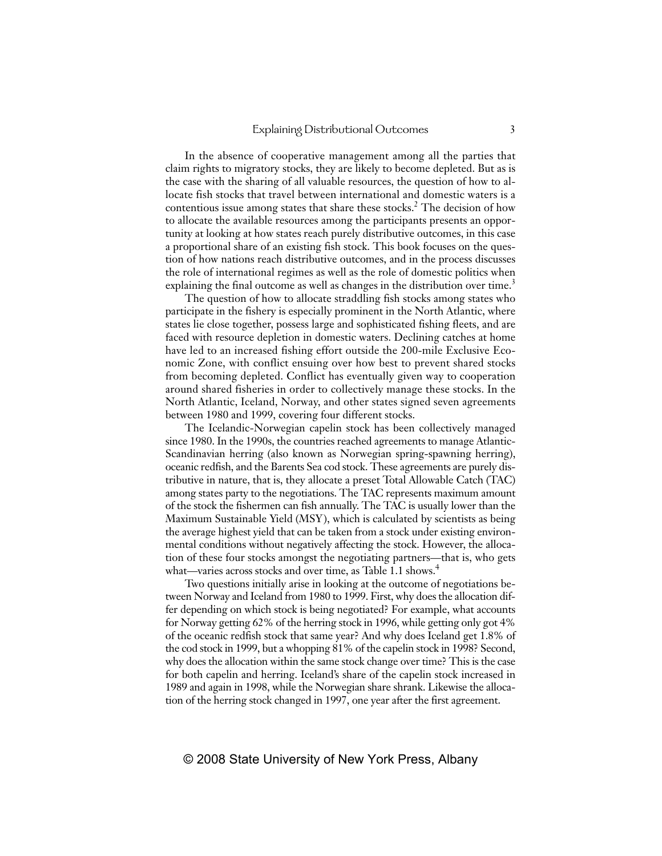In the absence of cooperative management among all the parties that claim rights to migratory stocks, they are likely to become depleted. But as is the case with the sharing of all valuable resources, the question of how to allocate fish stocks that travel between international and domestic waters is a contentious issue among states that share these stocks.<sup>2</sup> The decision of how to allocate the available resources among the participants presents an opportunity at looking at how states reach purely distributive outcomes, in this case a proportional share of an existing fish stock. This book focuses on the question of how nations reach distributive outcomes, and in the process discusses the role of international regimes as well as the role of domestic politics when explaining the final outcome as well as changes in the distribution over time.<sup>3</sup>

The question of how to allocate straddling fish stocks among states who participate in the fishery is especially prominent in the North Atlantic, where states lie close together, possess large and sophisticated fishing fleets, and are faced with resource depletion in domestic waters. Declining catches at home have led to an increased fishing effort outside the 200-mile Exclusive Economic Zone, with conflict ensuing over how best to prevent shared stocks from becoming depleted. Conflict has eventually given way to cooperation around shared fisheries in order to collectively manage these stocks. In the North Atlantic, Iceland, Norway, and other states signed seven agreements between 1980 and 1999, covering four different stocks.

The Icelandic-Norwegian capelin stock has been collectively managed since 1980. In the 1990s, the countries reached agreements to manage Atlantic-Scandinavian herring (also known as Norwegian spring-spawning herring), oceanic redfish, and the Barents Sea cod stock. These agreements are purely distributive in nature, that is, they allocate a preset Total Allowable Catch (TAC) among states party to the negotiations. The TAC represents maximum amount of the stock the fishermen can fish annually. The TAC is usually lower than the Maximum Sustainable Yield (MSY), which is calculated by scientists as being the average highest yield that can be taken from a stock under existing environmental conditions without negatively affecting the stock. However, the allocation of these four stocks amongst the negotiating partners—that is, who gets what—varies across stocks and over time, as Table 1.1 shows.<sup>4</sup>

Two questions initially arise in looking at the outcome of negotiations between Norway and Iceland from 1980 to 1999. First, why does the allocation differ depending on which stock is being negotiated? For example, what accounts for Norway getting 62% of the herring stock in 1996, while getting only got 4% of the oceanic redfish stock that same year? And why does Iceland get 1.8% of the cod stock in 1999, but a whopping 81% of the capelin stock in 1998? Second, why does the allocation within the same stock change over time? This is the case for both capelin and herring. Iceland's share of the capelin stock increased in 1989 and again in 1998, while the Norwegian share shrank. Likewise the allocation of the herring stock changed in 1997, one year after the first agreement.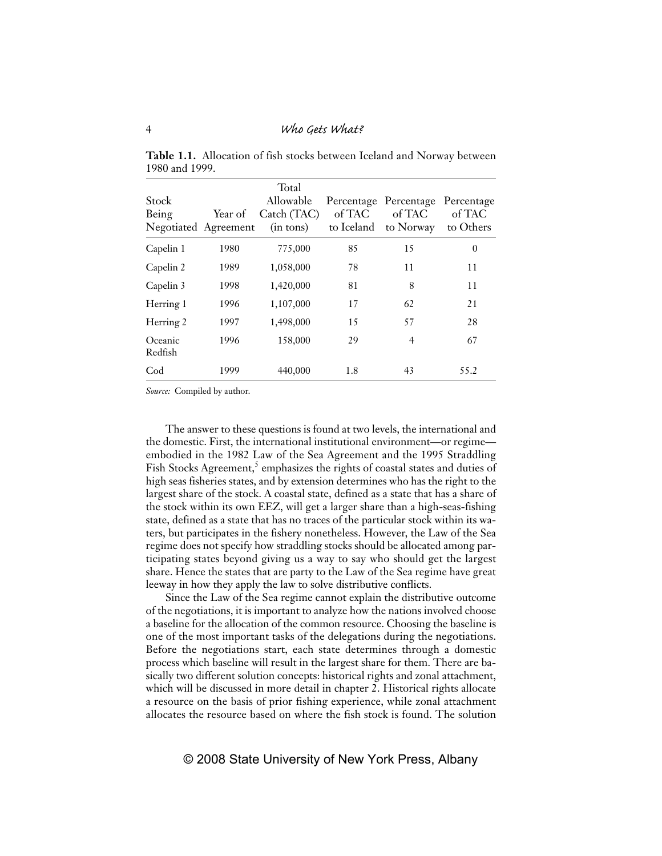| Stock<br>Being     | Year of<br>Negotiated Agreement | Total<br>Allowable<br>Catch (TAC)<br>(in tons) | Percentage<br>of TAC<br>to Iceland | Percentage<br>of TAC<br>to Norway | Percentage<br>of TAC<br>to Others |
|--------------------|---------------------------------|------------------------------------------------|------------------------------------|-----------------------------------|-----------------------------------|
| Capelin 1          | 1980                            | 775,000                                        | 85                                 | 15                                | $\theta$                          |
| Capelin 2          | 1989                            | 1,058,000                                      | 78                                 | 11                                | 11                                |
| Capelin 3          | 1998                            | 1,420,000                                      | 81                                 | 8                                 | 11                                |
| Herring 1          | 1996                            | 1,107,000                                      | 17                                 | 62                                | 21                                |
| Herring 2          | 1997                            | 1,498,000                                      | 15                                 | 57                                | 28                                |
| Oceanic<br>Redfish | 1996                            | 158,000                                        | 29                                 | 4                                 | 67                                |
| $\rm Cod$          | 1999                            | 440,000                                        | 1.8                                | 43                                | 55.2                              |

**Table 1.1.** Allocation of fish stocks between Iceland and Norway between 1980 and 1999.

*Source:* Compiled by author.

The answer to these questions is found at two levels, the international and the domestic. First, the international institutional environment—or regime embodied in the 1982 Law of the Sea Agreement and the 1995 Straddling Fish Stocks Agreement,<sup>5</sup> emphasizes the rights of coastal states and duties of high seas fisheries states, and by extension determines who has the right to the largest share of the stock. A coastal state, defined as a state that has a share of the stock within its own EEZ, will get a larger share than a high-seas-fishing state, defined as a state that has no traces of the particular stock within its waters, but participates in the fishery nonetheless. However, the Law of the Sea regime does not specify how straddling stocks should be allocated among participating states beyond giving us a way to say who should get the largest share. Hence the states that are party to the Law of the Sea regime have great leeway in how they apply the law to solve distributive conflicts.

Since the Law of the Sea regime cannot explain the distributive outcome of the negotiations, it is important to analyze how the nations involved choose a baseline for the allocation of the common resource. Choosing the baseline is one of the most important tasks of the delegations during the negotiations. Before the negotiations start, each state determines through a domestic process which baseline will result in the largest share for them. There are basically two different solution concepts: historical rights and zonal attachment, which will be discussed in more detail in chapter 2. Historical rights allocate a resource on the basis of prior fishing experience, while zonal attachment allocates the resource based on where the fish stock is found. The solution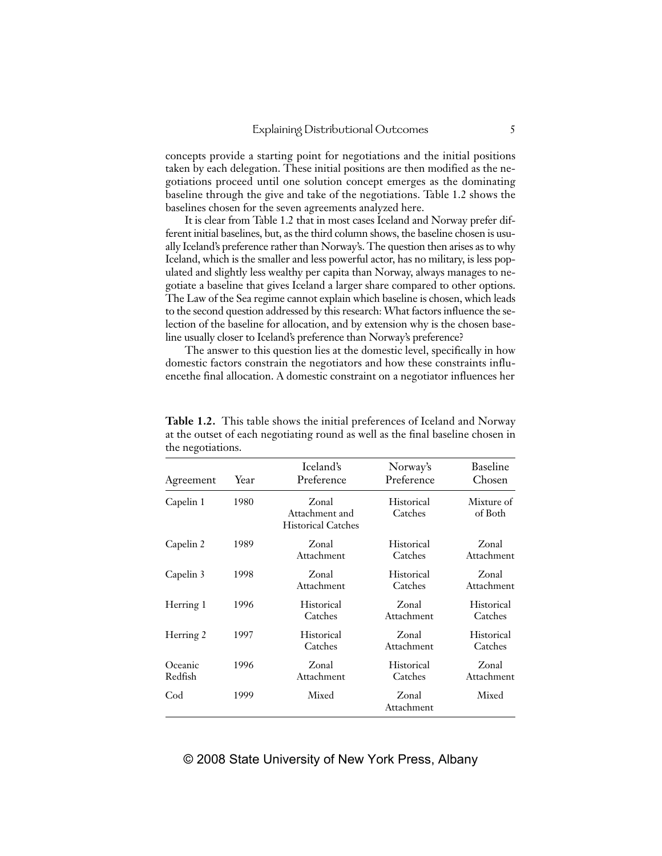concepts provide a starting point for negotiations and the initial positions taken by each delegation. These initial positions are then modified as the negotiations proceed until one solution concept emerges as the dominating baseline through the give and take of the negotiations. Table 1.2 shows the baselines chosen for the seven agreements analyzed here.

It is clear from Table 1.2 that in most cases Iceland and Norway prefer different initial baselines, but, as the third column shows, the baseline chosen is usually Iceland's preference rather than Norway's. The question then arises as to why Iceland, which is the smaller and less powerful actor, has no military, is less populated and slightly less wealthy per capita than Norway, always manages to negotiate a baseline that gives Iceland a larger share compared to other options. The Law of the Sea regime cannot explain which baseline is chosen, which leads to the second question addressed by this research: What factors influence the selection of the baseline for allocation, and by extension why is the chosen baseline usually closer to Iceland's preference than Norway's preference?

The answer to this question lies at the domestic level, specifically in how domestic factors constrain the negotiators and how these constraints influencethe final allocation. A domestic constraint on a negotiator influences her

| Agreement          | Year | Iceland's<br>Preference                              | Norway's<br>Preference | Baseline<br>Chosen    |
|--------------------|------|------------------------------------------------------|------------------------|-----------------------|
| Capelin 1          | 1980 | Zonal<br>Attachment and<br><b>Historical Catches</b> | Historical<br>Catches  | Mixture of<br>of Both |
| Capelin 2          | 1989 | Zonal<br>Attachment                                  | Historical<br>Catches  | Zonal<br>Attachment   |
| Capelin 3          | 1998 | Zonal<br>Attachment                                  | Historical<br>Catches  | Zonal<br>Attachment   |
| Herring 1          | 1996 | Historical<br>Catches                                | Zonal<br>Attachment    | Historical<br>Catches |
| Herring 2          | 1997 | Historical<br>Catches                                | Zonal<br>Attachment    | Historical<br>Catches |
| Oceanic<br>Redfish | 1996 | Zonal<br>Attachment                                  | Historical<br>Catches  | Zonal<br>Attachment   |
| $\rm Cod$          | 1999 | Mixed                                                | Zonal<br>Attachment    | Mixed                 |

**Table 1.2.** This table shows the initial preferences of Iceland and Norway at the outset of each negotiating round as well as the final baseline chosen in the negotiations.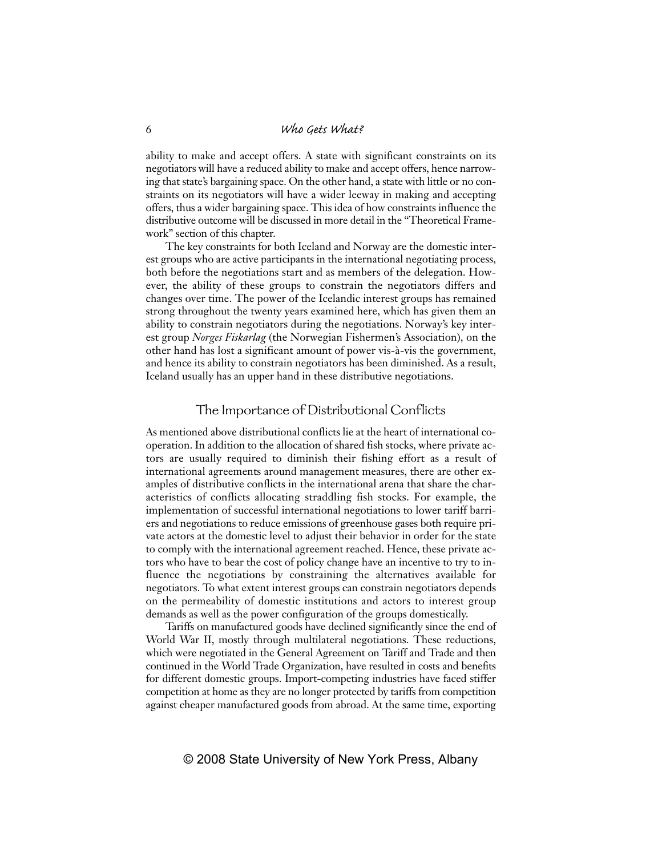## <sup>6</sup> Who Gets What?

ability to make and accept offers. A state with significant constraints on its negotiators will have a reduced ability to make and accept offers, hence narrowing that state's bargaining space. On the other hand, a state with little or no constraints on its negotiators will have a wider leeway in making and accepting offers, thus a wider bargaining space. This idea of how constraints influence the distributive outcome will be discussed in more detail in the "Theoretical Framework" section of this chapter.

The key constraints for both Iceland and Norway are the domestic interest groups who are active participants in the international negotiating process, both before the negotiations start and as members of the delegation. However, the ability of these groups to constrain the negotiators differs and changes over time. The power of the Icelandic interest groups has remained strong throughout the twenty years examined here, which has given them an ability to constrain negotiators during the negotiations. Norway's key interest group *Norges Fiskarlag* (the Norwegian Fishermen's Association), on the other hand has lost a significant amount of power vis-à-vis the government, and hence its ability to constrain negotiators has been diminished. As a result, Iceland usually has an upper hand in these distributive negotiations.

# The Importance of Distributional Conflicts

As mentioned above distributional conflicts lie at the heart of international cooperation. In addition to the allocation of shared fish stocks, where private actors are usually required to diminish their fishing effort as a result of international agreements around management measures, there are other examples of distributive conflicts in the international arena that share the characteristics of conflicts allocating straddling fish stocks. For example, the implementation of successful international negotiations to lower tariff barriers and negotiations to reduce emissions of greenhouse gases both require private actors at the domestic level to adjust their behavior in order for the state to comply with the international agreement reached. Hence, these private actors who have to bear the cost of policy change have an incentive to try to influence the negotiations by constraining the alternatives available for negotiators. To what extent interest groups can constrain negotiators depends on the permeability of domestic institutions and actors to interest group demands as well as the power configuration of the groups domestically.

Tariffs on manufactured goods have declined significantly since the end of World War II, mostly through multilateral negotiations. These reductions, which were negotiated in the General Agreement on Tariff and Trade and then continued in the World Trade Organization, have resulted in costs and benefits for different domestic groups. Import-competing industries have faced stiffer competition at home as they are no longer protected by tariffs from competition against cheaper manufactured goods from abroad. At the same time, exporting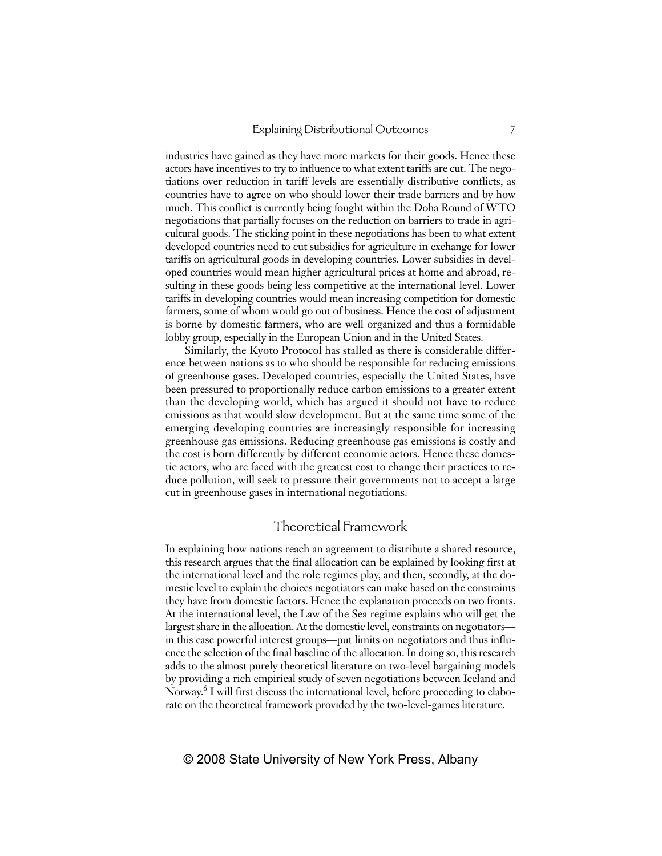industries have gained as they have more markets for their goods. Hence these actors have incentives to try to influence to what extent tariffs are cut. The negotiations over reduction in tariff levels are essentially distributive conflicts, as countries have to agree on who should lower their trade barriers and by how much. This conflict is currently being fought within the Doha Round of WTO negotiations that partially focuses on the reduction on barriers to trade in agricultural goods. The sticking point in these negotiations has been to what extent developed countries need to cut subsidies for agriculture in exchange for lower tariffs on agricultural goods in developing countries. Lower subsidies in developed countries would mean higher agricultural prices at home and abroad, resulting in these goods being less competitive at the international level. Lower tariffs in developing countries would mean increasing competition for domestic farmers, some of whom would go out of business. Hence the cost of adjustment is borne by domestic farmers, who are well organized and thus a formidable lobby group, especially in the European Union and in the United States.

Similarly, the Kyoto Protocol has stalled as there is considerable difference between nations as to who should be responsible for reducing emissions of greenhouse gases. Developed countries, especially the United States, have been pressured to proportionally reduce carbon emissions to a greater extent than the developing world, which has argued it should not have to reduce emissions as that would slow development. But at the same time some of the emerging developing countries are increasingly responsible for increasing greenhouse gas emissions. Reducing greenhouse gas emissions is costly and the cost is born differently by different economic actors. Hence these domestic actors, who are faced with the greatest cost to change their practices to reduce pollution, will seek to pressure their governments not to accept a large cut in greenhouse gases in international negotiations.

# Theoretical Framework

In explaining how nations reach an agreement to distribute a shared resource, this research argues that the final allocation can be explained by looking first at the international level and the role regimes play, and then, secondly, at the domestic level to explain the choices negotiators can make based on the constraints they have from domestic factors. Hence the explanation proceeds on two fronts. At the international level, the Law of the Sea regime explains who will get the largest share in the allocation. At the domestic level, constraints on negotiators in this case powerful interest groups—put limits on negotiators and thus influence the selection of the final baseline of the allocation. In doing so, this research adds to the almost purely theoretical literature on two-level bargaining models by providing a rich empirical study of seven negotiations between Iceland and Norway.6 I will first discuss the international level, before proceeding to elaborate on the theoretical framework provided by the two-level-games literature.

## © 2008 State University of New York Press, Albany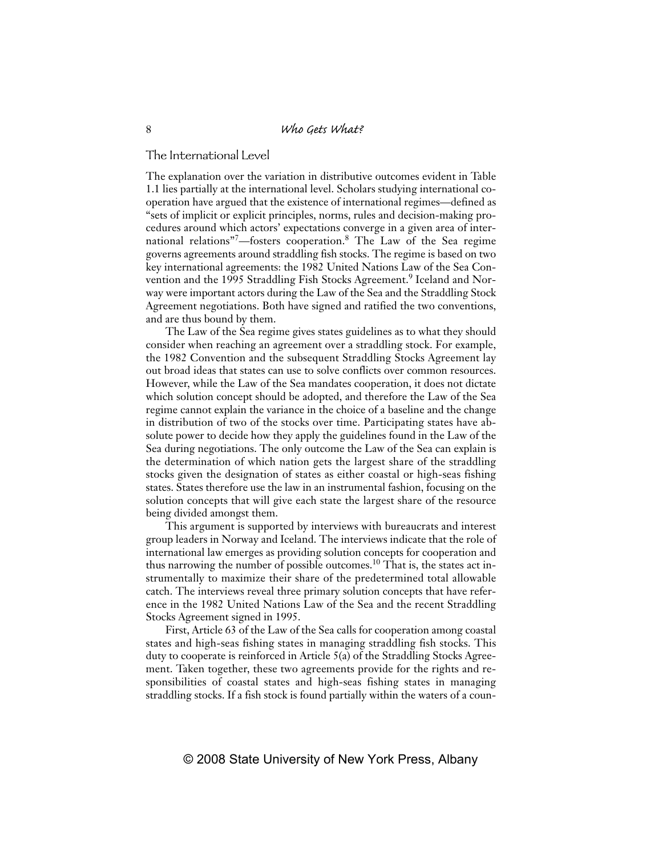The International Level

The explanation over the variation in distributive outcomes evident in Table 1.1 lies partially at the international level. Scholars studying international cooperation have argued that the existence of international regimes—defined as "sets of implicit or explicit principles, norms, rules and decision-making procedures around which actors' expectations converge in a given area of international relations"<sup>7</sup>—fosters cooperation.<sup>8</sup> The Law of the Sea regime governs agreements around straddling fish stocks. The regime is based on two key international agreements: the 1982 United Nations Law of the Sea Convention and the 1995 Straddling Fish Stocks Agreement.<sup>9</sup> Iceland and Norway were important actors during the Law of the Sea and the Straddling Stock Agreement negotiations. Both have signed and ratified the two conventions, and are thus bound by them.

The Law of the Sea regime gives states guidelines as to what they should consider when reaching an agreement over a straddling stock. For example, the 1982 Convention and the subsequent Straddling Stocks Agreement lay out broad ideas that states can use to solve conflicts over common resources. However, while the Law of the Sea mandates cooperation, it does not dictate which solution concept should be adopted, and therefore the Law of the Sea regime cannot explain the variance in the choice of a baseline and the change in distribution of two of the stocks over time. Participating states have absolute power to decide how they apply the guidelines found in the Law of the Sea during negotiations. The only outcome the Law of the Sea can explain is the determination of which nation gets the largest share of the straddling stocks given the designation of states as either coastal or high-seas fishing states. States therefore use the law in an instrumental fashion, focusing on the solution concepts that will give each state the largest share of the resource being divided amongst them.

This argument is supported by interviews with bureaucrats and interest group leaders in Norway and Iceland. The interviews indicate that the role of international law emerges as providing solution concepts for cooperation and thus narrowing the number of possible outcomes.<sup>10</sup> That is, the states act instrumentally to maximize their share of the predetermined total allowable catch. The interviews reveal three primary solution concepts that have reference in the 1982 United Nations Law of the Sea and the recent Straddling Stocks Agreement signed in 1995.

First, Article 63 of the Law of the Sea calls for cooperation among coastal states and high-seas fishing states in managing straddling fish stocks. This duty to cooperate is reinforced in Article 5(a) of the Straddling Stocks Agreement. Taken together, these two agreements provide for the rights and responsibilities of coastal states and high-seas fishing states in managing straddling stocks. If a fish stock is found partially within the waters of a coun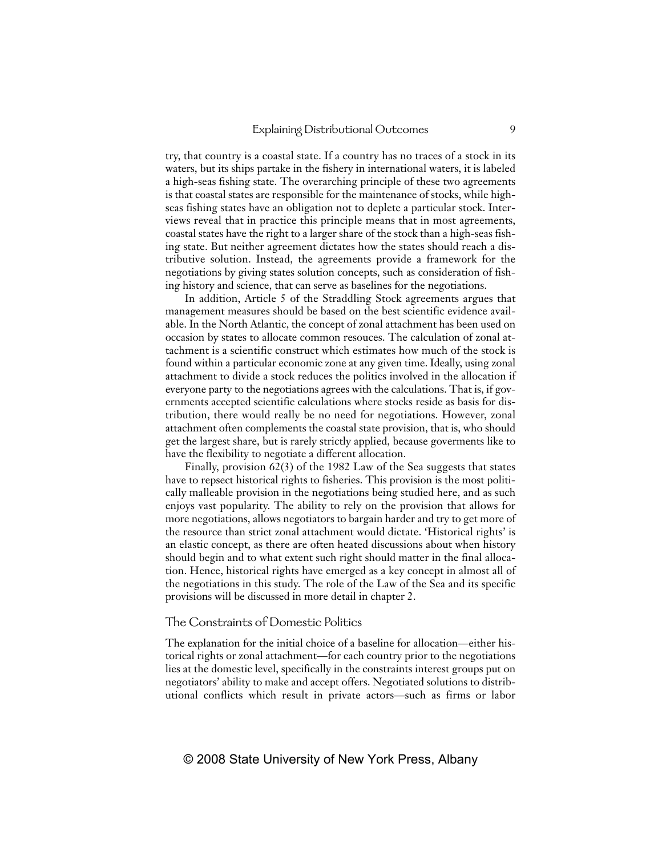try, that country is a coastal state. If a country has no traces of a stock in its waters, but its ships partake in the fishery in international waters, it is labeled a high-seas fishing state. The overarching principle of these two agreements is that coastal states are responsible for the maintenance of stocks, while highseas fishing states have an obligation not to deplete a particular stock. Interviews reveal that in practice this principle means that in most agreements, coastal states have the right to a larger share of the stock than a high-seas fishing state. But neither agreement dictates how the states should reach a distributive solution. Instead, the agreements provide a framework for the negotiations by giving states solution concepts, such as consideration of fishing history and science, that can serve as baselines for the negotiations.

In addition, Article 5 of the Straddling Stock agreements argues that management measures should be based on the best scientific evidence available. In the North Atlantic, the concept of zonal attachment has been used on occasion by states to allocate common resouces. The calculation of zonal attachment is a scientific construct which estimates how much of the stock is found within a particular economic zone at any given time. Ideally, using zonal attachment to divide a stock reduces the politics involved in the allocation if everyone party to the negotiations agrees with the calculations. That is, if governments accepted scientific calculations where stocks reside as basis for distribution, there would really be no need for negotiations. However, zonal attachment often complements the coastal state provision, that is, who should get the largest share, but is rarely strictly applied, because goverments like to have the flexibility to negotiate a different allocation.

Finally, provision 62(3) of the 1982 Law of the Sea suggests that states have to repsect historical rights to fisheries. This provision is the most politically malleable provision in the negotiations being studied here, and as such enjoys vast popularity. The ability to rely on the provision that allows for more negotiations, allows negotiators to bargain harder and try to get more of the resource than strict zonal attachment would dictate. 'Historical rights' is an elastic concept, as there are often heated discussions about when history should begin and to what extent such right should matter in the final allocation. Hence, historical rights have emerged as a key concept in almost all of the negotiations in this study. The role of the Law of the Sea and its specific provisions will be discussed in more detail in chapter 2.

#### The Constraints of Domestic Politics

The explanation for the initial choice of a baseline for allocation—either historical rights or zonal attachment—for each country prior to the negotiations lies at the domestic level, specifically in the constraints interest groups put on negotiators' ability to make and accept offers. Negotiated solutions to distributional conflicts which result in private actors—such as firms or labor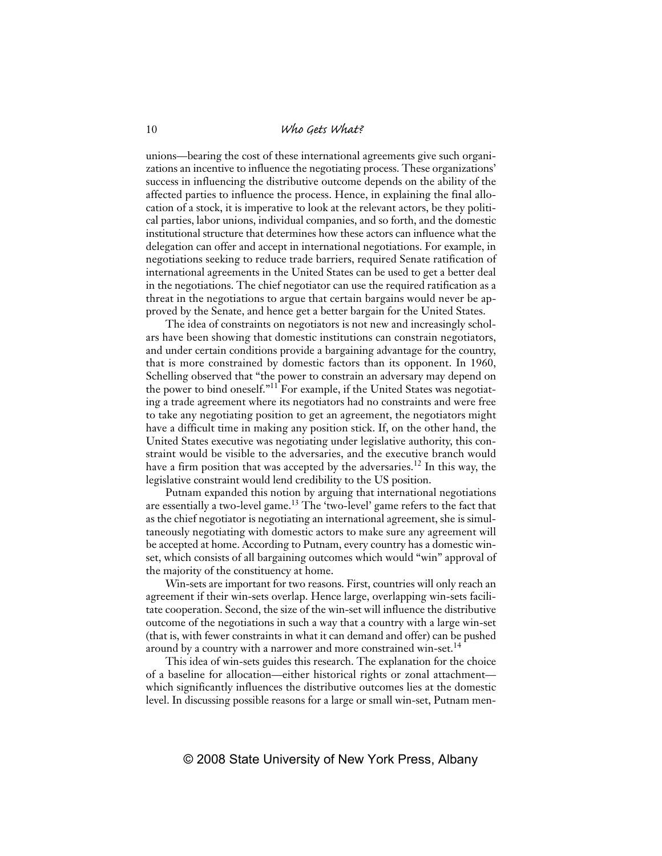unions—bearing the cost of these international agreements give such organizations an incentive to influence the negotiating process. These organizations' success in influencing the distributive outcome depends on the ability of the affected parties to influence the process. Hence, in explaining the final allocation of a stock, it is imperative to look at the relevant actors, be they political parties, labor unions, individual companies, and so forth, and the domestic institutional structure that determines how these actors can influence what the delegation can offer and accept in international negotiations. For example, in negotiations seeking to reduce trade barriers, required Senate ratification of international agreements in the United States can be used to get a better deal in the negotiations. The chief negotiator can use the required ratification as a threat in the negotiations to argue that certain bargains would never be approved by the Senate, and hence get a better bargain for the United States.

The idea of constraints on negotiators is not new and increasingly scholars have been showing that domestic institutions can constrain negotiators, and under certain conditions provide a bargaining advantage for the country, that is more constrained by domestic factors than its opponent. In 1960, Schelling observed that "the power to constrain an adversary may depend on the power to bind oneself."<sup>11</sup> For example, if the United States was negotiating a trade agreement where its negotiators had no constraints and were free to take any negotiating position to get an agreement, the negotiators might have a difficult time in making any position stick. If, on the other hand, the United States executive was negotiating under legislative authority, this constraint would be visible to the adversaries, and the executive branch would have a firm position that was accepted by the adversaries.<sup>12</sup> In this way, the legislative constraint would lend credibility to the US position.

Putnam expanded this notion by arguing that international negotiations are essentially a two-level game.<sup>13</sup> The 'two-level' game refers to the fact that as the chief negotiator is negotiating an international agreement, she is simultaneously negotiating with domestic actors to make sure any agreement will be accepted at home. According to Putnam, every country has a domestic winset, which consists of all bargaining outcomes which would "win" approval of the majority of the constituency at home.

Win-sets are important for two reasons. First, countries will only reach an agreement if their win-sets overlap. Hence large, overlapping win-sets facilitate cooperation. Second, the size of the win-set will influence the distributive outcome of the negotiations in such a way that a country with a large win-set (that is, with fewer constraints in what it can demand and offer) can be pushed around by a country with a narrower and more constrained win-set.<sup>14</sup>

This idea of win-sets guides this research. The explanation for the choice of a baseline for allocation—either historical rights or zonal attachment which significantly influences the distributive outcomes lies at the domestic level. In discussing possible reasons for a large or small win-set, Putnam men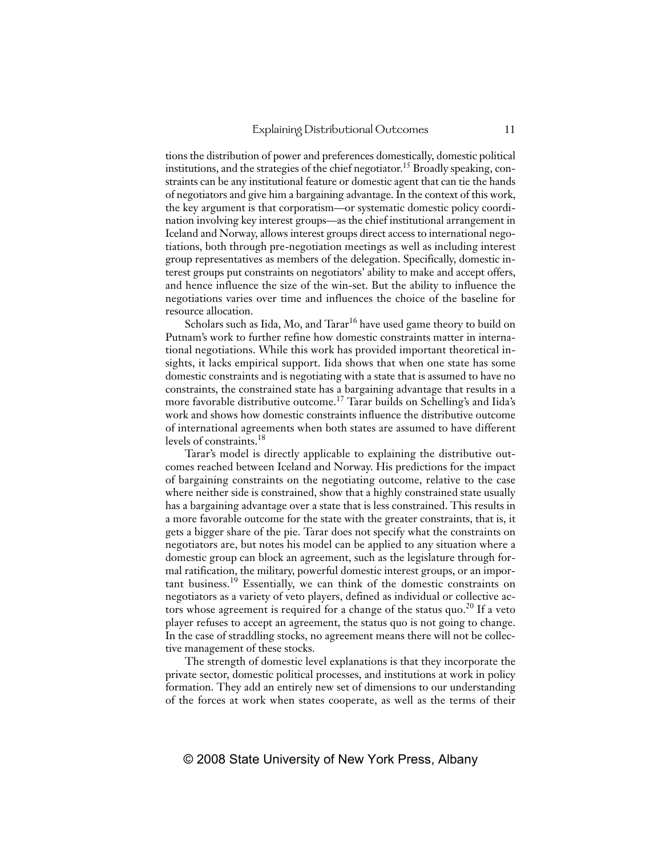tions the distribution of power and preferences domestically, domestic political institutions, and the strategies of the chief negotiator.<sup>15</sup> Broadly speaking, constraints can be any institutional feature or domestic agent that can tie the hands of negotiators and give him a bargaining advantage. In the context of this work, the key argument is that corporatism—or systematic domestic policy coordination involving key interest groups—as the chief institutional arrangement in Iceland and Norway, allows interest groups direct access to international negotiations, both through pre-negotiation meetings as well as including interest group representatives as members of the delegation. Specifically, domestic interest groups put constraints on negotiators' ability to make and accept offers, and hence influence the size of the win-set. But the ability to influence the negotiations varies over time and influences the choice of the baseline for resource allocation.

Scholars such as Iida, Mo, and Tarar<sup>16</sup> have used game theory to build on Putnam's work to further refine how domestic constraints matter in international negotiations. While this work has provided important theoretical insights, it lacks empirical support. Iida shows that when one state has some domestic constraints and is negotiating with a state that is assumed to have no constraints, the constrained state has a bargaining advantage that results in a more favorable distributive outcome.<sup>17</sup> Tarar builds on Schelling's and Iida's work and shows how domestic constraints influence the distributive outcome of international agreements when both states are assumed to have different levels of constraints.<sup>18</sup>

Tarar's model is directly applicable to explaining the distributive outcomes reached between Iceland and Norway. His predictions for the impact of bargaining constraints on the negotiating outcome, relative to the case where neither side is constrained, show that a highly constrained state usually has a bargaining advantage over a state that is less constrained. This results in a more favorable outcome for the state with the greater constraints, that is, it gets a bigger share of the pie. Tarar does not specify what the constraints on negotiators are, but notes his model can be applied to any situation where a domestic group can block an agreement, such as the legislature through formal ratification, the military, powerful domestic interest groups, or an important business.<sup>19</sup> Essentially, we can think of the domestic constraints on negotiators as a variety of veto players, defined as individual or collective actors whose agreement is required for a change of the status quo.<sup>20</sup> If a veto player refuses to accept an agreement, the status quo is not going to change. In the case of straddling stocks, no agreement means there will not be collective management of these stocks.

The strength of domestic level explanations is that they incorporate the private sector, domestic political processes, and institutions at work in policy formation. They add an entirely new set of dimensions to our understanding of the forces at work when states cooperate, as well as the terms of their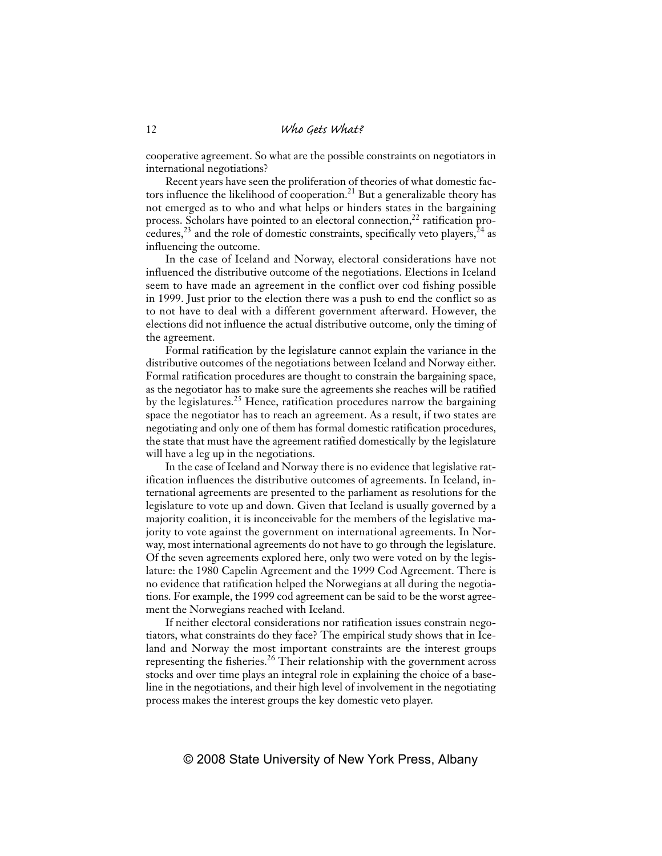cooperative agreement. So what are the possible constraints on negotiators in international negotiations?

Recent years have seen the proliferation of theories of what domestic factors influence the likelihood of cooperation.<sup>21</sup> But a generalizable theory has not emerged as to who and what helps or hinders states in the bargaining process. Scholars have pointed to an electoral connection,<sup>22</sup> ratification procedures,<sup>23</sup> and the role of domestic constraints, specifically veto players,<sup>24</sup> as influencing the outcome.

In the case of Iceland and Norway, electoral considerations have not influenced the distributive outcome of the negotiations. Elections in Iceland seem to have made an agreement in the conflict over cod fishing possible in 1999. Just prior to the election there was a push to end the conflict so as to not have to deal with a different government afterward. However, the elections did not influence the actual distributive outcome, only the timing of the agreement.

Formal ratification by the legislature cannot explain the variance in the distributive outcomes of the negotiations between Iceland and Norway either. Formal ratification procedures are thought to constrain the bargaining space, as the negotiator has to make sure the agreements she reaches will be ratified by the legislatures.<sup>25</sup> Hence, ratification procedures narrow the bargaining space the negotiator has to reach an agreement. As a result, if two states are negotiating and only one of them has formal domestic ratification procedures, the state that must have the agreement ratified domestically by the legislature will have a leg up in the negotiations.

In the case of Iceland and Norway there is no evidence that legislative ratification influences the distributive outcomes of agreements. In Iceland, international agreements are presented to the parliament as resolutions for the legislature to vote up and down. Given that Iceland is usually governed by a majority coalition, it is inconceivable for the members of the legislative majority to vote against the government on international agreements. In Norway, most international agreements do not have to go through the legislature. Of the seven agreements explored here, only two were voted on by the legislature: the 1980 Capelin Agreement and the 1999 Cod Agreement. There is no evidence that ratification helped the Norwegians at all during the negotiations. For example, the 1999 cod agreement can be said to be the worst agreement the Norwegians reached with Iceland.

If neither electoral considerations nor ratification issues constrain negotiators, what constraints do they face? The empirical study shows that in Iceland and Norway the most important constraints are the interest groups representing the fisheries.<sup>26</sup> Their relationship with the government across stocks and over time plays an integral role in explaining the choice of a baseline in the negotiations, and their high level of involvement in the negotiating process makes the interest groups the key domestic veto player.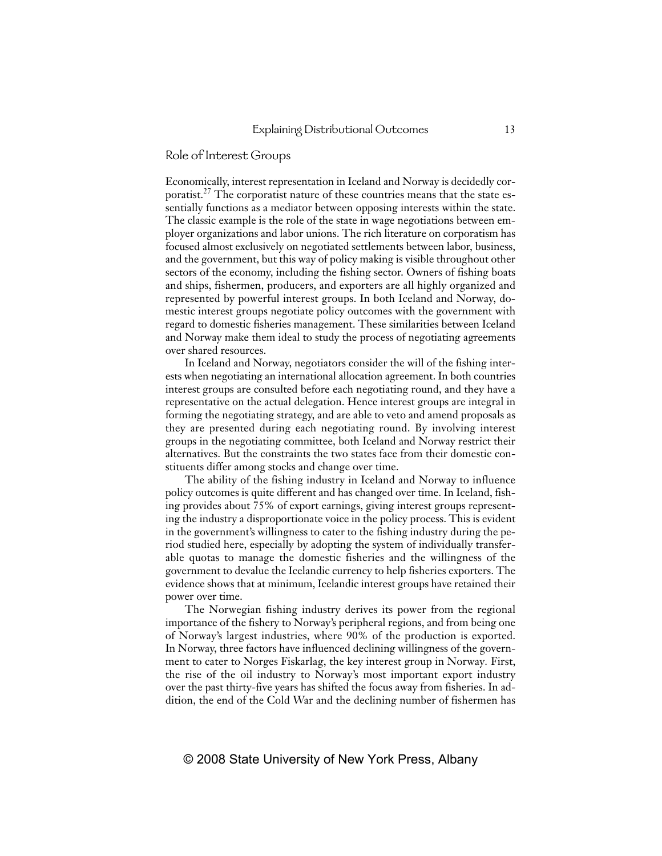#### Explaining Distributional Outcomes 13

#### Role of Interest Groups

Economically, interest representation in Iceland and Norway is decidedly corporatist.<sup>27</sup> The corporatist nature of these countries means that the state essentially functions as a mediator between opposing interests within the state. The classic example is the role of the state in wage negotiations between employer organizations and labor unions. The rich literature on corporatism has focused almost exclusively on negotiated settlements between labor, business, and the government, but this way of policy making is visible throughout other sectors of the economy, including the fishing sector. Owners of fishing boats and ships, fishermen, producers, and exporters are all highly organized and represented by powerful interest groups. In both Iceland and Norway, domestic interest groups negotiate policy outcomes with the government with regard to domestic fisheries management. These similarities between Iceland and Norway make them ideal to study the process of negotiating agreements over shared resources.

In Iceland and Norway, negotiators consider the will of the fishing interests when negotiating an international allocation agreement. In both countries interest groups are consulted before each negotiating round, and they have a representative on the actual delegation. Hence interest groups are integral in forming the negotiating strategy, and are able to veto and amend proposals as they are presented during each negotiating round. By involving interest groups in the negotiating committee, both Iceland and Norway restrict their alternatives. But the constraints the two states face from their domestic constituents differ among stocks and change over time.

The ability of the fishing industry in Iceland and Norway to influence policy outcomes is quite different and has changed over time. In Iceland, fishing provides about 75% of export earnings, giving interest groups representing the industry a disproportionate voice in the policy process. This is evident in the government's willingness to cater to the fishing industry during the period studied here, especially by adopting the system of individually transferable quotas to manage the domestic fisheries and the willingness of the government to devalue the Icelandic currency to help fisheries exporters. The evidence shows that at minimum, Icelandic interest groups have retained their power over time.

The Norwegian fishing industry derives its power from the regional importance of the fishery to Norway's peripheral regions, and from being one of Norway's largest industries, where 90% of the production is exported. In Norway, three factors have influenced declining willingness of the government to cater to Norges Fiskarlag, the key interest group in Norway*.* First, the rise of the oil industry to Norway's most important export industry over the past thirty-five years has shifted the focus away from fisheries. In addition, the end of the Cold War and the declining number of fishermen has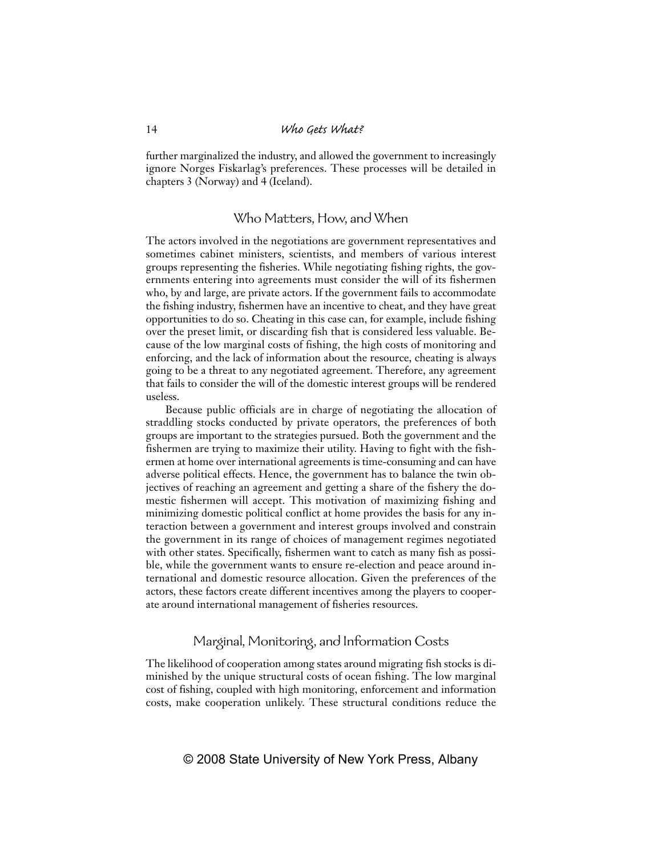further marginalized the industry, and allowed the government to increasingly ignore Norges Fiskarlag's preferences. These processes will be detailed in chapters 3 (Norway) and 4 (Iceland).

# Who Matters, How, and When

The actors involved in the negotiations are government representatives and sometimes cabinet ministers, scientists, and members of various interest groups representing the fisheries. While negotiating fishing rights, the governments entering into agreements must consider the will of its fishermen who, by and large, are private actors. If the government fails to accommodate the fishing industry, fishermen have an incentive to cheat, and they have great opportunities to do so. Cheating in this case can, for example, include fishing over the preset limit, or discarding fish that is considered less valuable. Because of the low marginal costs of fishing, the high costs of monitoring and enforcing, and the lack of information about the resource, cheating is always going to be a threat to any negotiated agreement. Therefore, any agreement that fails to consider the will of the domestic interest groups will be rendered useless.

Because public officials are in charge of negotiating the allocation of straddling stocks conducted by private operators, the preferences of both groups are important to the strategies pursued. Both the government and the fishermen are trying to maximize their utility. Having to fight with the fishermen at home over international agreements is time-consuming and can have adverse political effects. Hence, the government has to balance the twin objectives of reaching an agreement and getting a share of the fishery the domestic fishermen will accept. This motivation of maximizing fishing and minimizing domestic political conflict at home provides the basis for any interaction between a government and interest groups involved and constrain the government in its range of choices of management regimes negotiated with other states. Specifically, fishermen want to catch as many fish as possible, while the government wants to ensure re-election and peace around international and domestic resource allocation. Given the preferences of the actors, these factors create different incentives among the players to cooperate around international management of fisheries resources.

# Marginal, Monitoring, and Information Costs

The likelihood of cooperation among states around migrating fish stocks is diminished by the unique structural costs of ocean fishing. The low marginal cost of fishing, coupled with high monitoring, enforcement and information costs, make cooperation unlikely. These structural conditions reduce the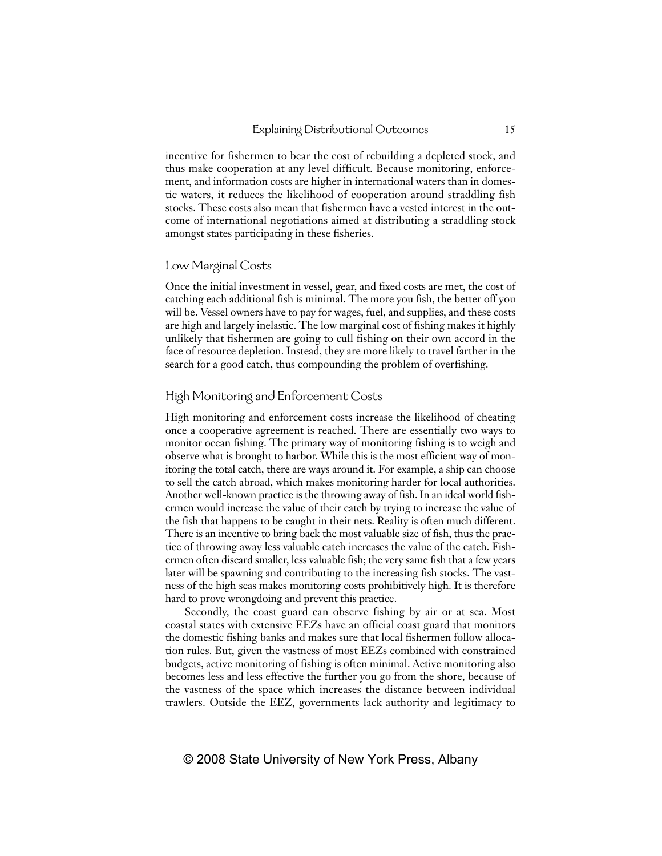incentive for fishermen to bear the cost of rebuilding a depleted stock, and thus make cooperation at any level difficult. Because monitoring, enforcement, and information costs are higher in international waters than in domestic waters, it reduces the likelihood of cooperation around straddling fish stocks. These costs also mean that fishermen have a vested interest in the outcome of international negotiations aimed at distributing a straddling stock amongst states participating in these fisheries.

#### Low Marginal Costs

Once the initial investment in vessel, gear, and fixed costs are met, the cost of catching each additional fish is minimal. The more you fish, the better off you will be. Vessel owners have to pay for wages, fuel, and supplies, and these costs are high and largely inelastic. The low marginal cost of fishing makes it highly unlikely that fishermen are going to cull fishing on their own accord in the face of resource depletion. Instead, they are more likely to travel farther in the search for a good catch, thus compounding the problem of overfishing.

## High Monitoring and Enforcement Costs

High monitoring and enforcement costs increase the likelihood of cheating once a cooperative agreement is reached. There are essentially two ways to monitor ocean fishing. The primary way of monitoring fishing is to weigh and observe what is brought to harbor. While this is the most efficient way of monitoring the total catch, there are ways around it. For example, a ship can choose to sell the catch abroad, which makes monitoring harder for local authorities. Another well-known practice is the throwing away of fish. In an ideal world fishermen would increase the value of their catch by trying to increase the value of the fish that happens to be caught in their nets. Reality is often much different. There is an incentive to bring back the most valuable size of fish, thus the practice of throwing away less valuable catch increases the value of the catch. Fishermen often discard smaller, less valuable fish; the very same fish that a few years later will be spawning and contributing to the increasing fish stocks. The vastness of the high seas makes monitoring costs prohibitively high. It is therefore hard to prove wrongdoing and prevent this practice.

Secondly, the coast guard can observe fishing by air or at sea. Most coastal states with extensive EEZs have an official coast guard that monitors the domestic fishing banks and makes sure that local fishermen follow allocation rules. But, given the vastness of most EEZs combined with constrained budgets, active monitoring of fishing is often minimal. Active monitoring also becomes less and less effective the further you go from the shore, because of the vastness of the space which increases the distance between individual trawlers. Outside the EEZ, governments lack authority and legitimacy to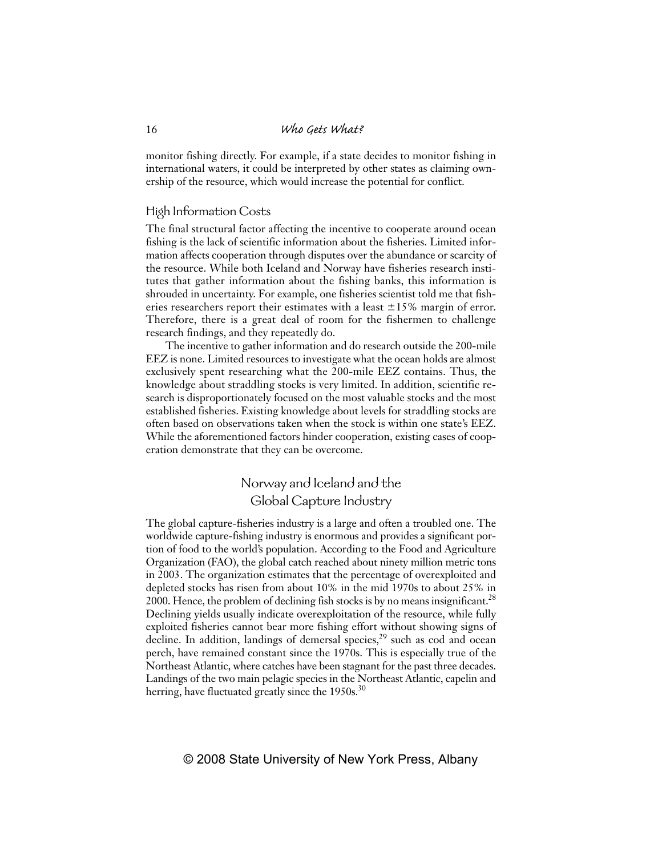monitor fishing directly. For example, if a state decides to monitor fishing in international waters, it could be interpreted by other states as claiming ownership of the resource, which would increase the potential for conflict.

### High Information Costs

The final structural factor affecting the incentive to cooperate around ocean fishing is the lack of scientific information about the fisheries. Limited information affects cooperation through disputes over the abundance or scarcity of the resource. While both Iceland and Norway have fisheries research institutes that gather information about the fishing banks, this information is shrouded in uncertainty. For example, one fisheries scientist told me that fisheries researchers report their estimates with a least  $\pm 15\%$  margin of error. Therefore, there is a great deal of room for the fishermen to challenge research findings, and they repeatedly do.

The incentive to gather information and do research outside the 200-mile EEZ is none. Limited resources to investigate what the ocean holds are almost exclusively spent researching what the 200-mile EEZ contains. Thus, the knowledge about straddling stocks is very limited. In addition, scientific research is disproportionately focused on the most valuable stocks and the most established fisheries. Existing knowledge about levels for straddling stocks are often based on observations taken when the stock is within one state's EEZ. While the aforementioned factors hinder cooperation, existing cases of cooperation demonstrate that they can be overcome.

# Norway and Iceland and the Global Capture Industry

The global capture-fisheries industry is a large and often a troubled one. The worldwide capture-fishing industry is enormous and provides a significant portion of food to the world's population. According to the Food and Agriculture Organization (FAO), the global catch reached about ninety million metric tons in 2003. The organization estimates that the percentage of overexploited and depleted stocks has risen from about 10% in the mid 1970s to about 25% in 2000. Hence, the problem of declining fish stocks is by no means insignificant.<sup>28</sup> Declining yields usually indicate overexploitation of the resource, while fully exploited fisheries cannot bear more fishing effort without showing signs of decline. In addition, landings of demersal species,<sup>29</sup> such as cod and ocean perch, have remained constant since the 1970s. This is especially true of the Northeast Atlantic, where catches have been stagnant for the past three decades. Landings of the two main pelagic species in the Northeast Atlantic, capelin and herring, have fluctuated greatly since the 1950s.<sup>30</sup>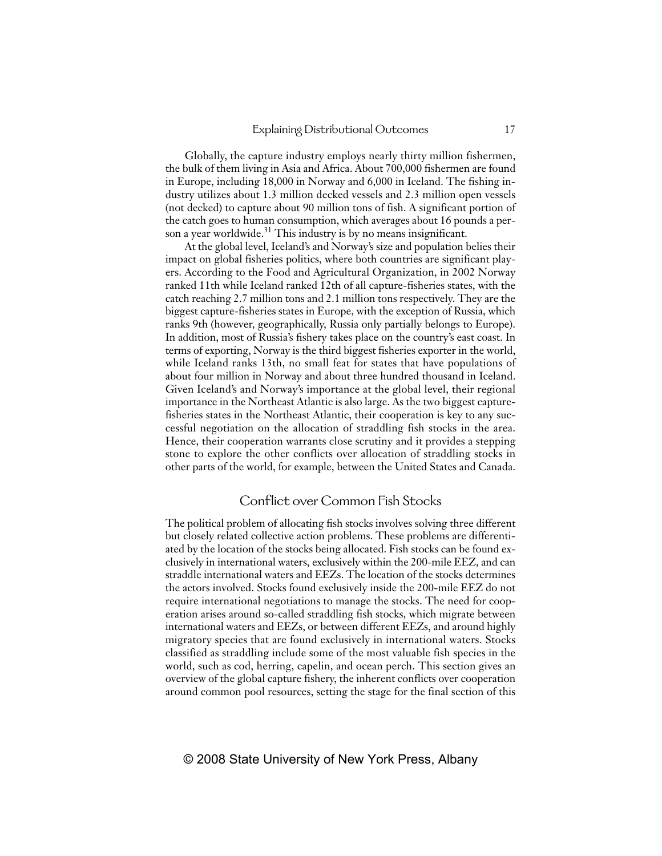Globally, the capture industry employs nearly thirty million fishermen, the bulk of them living in Asia and Africa. About 700,000 fishermen are found in Europe, including 18,000 in Norway and 6,000 in Iceland. The fishing industry utilizes about 1.3 million decked vessels and 2.3 million open vessels (not decked) to capture about 90 million tons of fish. A significant portion of the catch goes to human consumption, which averages about 16 pounds a person a year worldwide.<sup>31</sup> This industry is by no means insignificant.

At the global level, Iceland's and Norway's size and population belies their impact on global fisheries politics, where both countries are significant players. According to the Food and Agricultural Organization, in 2002 Norway ranked 11th while Iceland ranked 12th of all capture-fisheries states, with the catch reaching 2.7 million tons and 2.1 million tons respectively. They are the biggest capture-fisheries states in Europe, with the exception of Russia, which ranks 9th (however, geographically, Russia only partially belongs to Europe). In addition, most of Russia's fishery takes place on the country's east coast. In terms of exporting, Norway is the third biggest fisheries exporter in the world, while Iceland ranks 13th, no small feat for states that have populations of about four million in Norway and about three hundred thousand in Iceland. Given Iceland's and Norway's importance at the global level, their regional importance in the Northeast Atlantic is also large. As the two biggest capturefisheries states in the Northeast Atlantic, their cooperation is key to any successful negotiation on the allocation of straddling fish stocks in the area. Hence, their cooperation warrants close scrutiny and it provides a stepping stone to explore the other conflicts over allocation of straddling stocks in other parts of the world, for example, between the United States and Canada.

# Conflict over Common Fish Stocks

The political problem of allocating fish stocks involves solving three different but closely related collective action problems. These problems are differentiated by the location of the stocks being allocated. Fish stocks can be found exclusively in international waters, exclusively within the 200-mile EEZ, and can straddle international waters and EEZs. The location of the stocks determines the actors involved. Stocks found exclusively inside the 200-mile EEZ do not require international negotiations to manage the stocks. The need for cooperation arises around so-called straddling fish stocks, which migrate between international waters and EEZs, or between different EEZs, and around highly migratory species that are found exclusively in international waters. Stocks classified as straddling include some of the most valuable fish species in the world, such as cod, herring, capelin, and ocean perch. This section gives an overview of the global capture fishery, the inherent conflicts over cooperation around common pool resources, setting the stage for the final section of this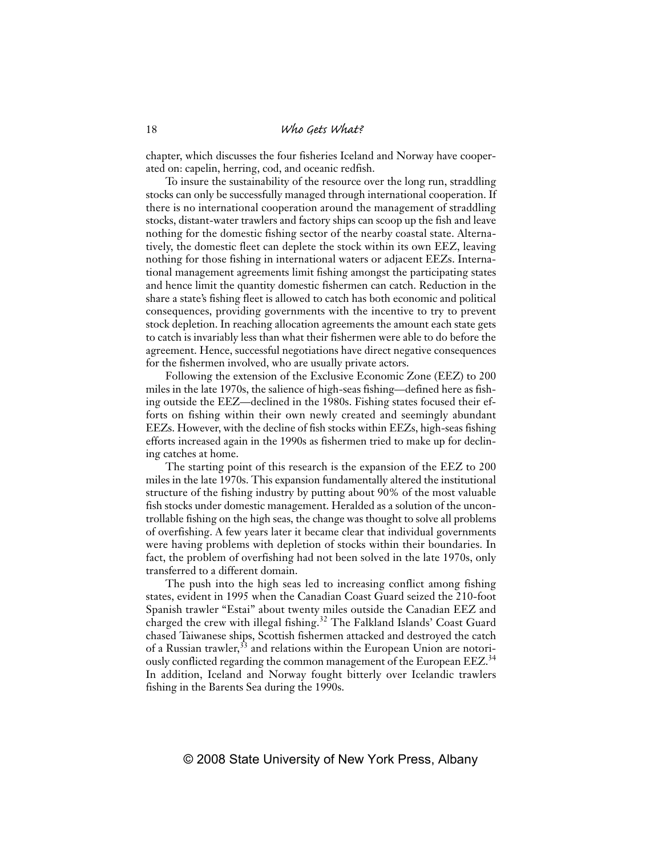chapter, which discusses the four fisheries Iceland and Norway have cooperated on: capelin, herring, cod, and oceanic redfish.

To insure the sustainability of the resource over the long run, straddling stocks can only be successfully managed through international cooperation. If there is no international cooperation around the management of straddling stocks, distant-water trawlers and factory ships can scoop up the fish and leave nothing for the domestic fishing sector of the nearby coastal state. Alternatively, the domestic fleet can deplete the stock within its own EEZ, leaving nothing for those fishing in international waters or adjacent EEZs. International management agreements limit fishing amongst the participating states and hence limit the quantity domestic fishermen can catch. Reduction in the share a state's fishing fleet is allowed to catch has both economic and political consequences, providing governments with the incentive to try to prevent stock depletion. In reaching allocation agreements the amount each state gets to catch is invariably less than what their fishermen were able to do before the agreement. Hence, successful negotiations have direct negative consequences for the fishermen involved, who are usually private actors.

Following the extension of the Exclusive Economic Zone (EEZ) to 200 miles in the late 1970s, the salience of high-seas fishing—defined here as fishing outside the EEZ—declined in the 1980s. Fishing states focused their efforts on fishing within their own newly created and seemingly abundant EEZs. However, with the decline of fish stocks within EEZs, high-seas fishing efforts increased again in the 1990s as fishermen tried to make up for declining catches at home.

The starting point of this research is the expansion of the EEZ to 200 miles in the late 1970s. This expansion fundamentally altered the institutional structure of the fishing industry by putting about 90% of the most valuable fish stocks under domestic management. Heralded as a solution of the uncontrollable fishing on the high seas, the change was thought to solve all problems of overfishing. A few years later it became clear that individual governments were having problems with depletion of stocks within their boundaries. In fact, the problem of overfishing had not been solved in the late 1970s, only transferred to a different domain.

The push into the high seas led to increasing conflict among fishing states, evident in 1995 when the Canadian Coast Guard seized the 210-foot Spanish trawler "Estai" about twenty miles outside the Canadian EEZ and charged the crew with illegal fishing.<sup>32</sup> The Falkland Islands' Coast Guard chased Taiwanese ships, Scottish fishermen attacked and destroyed the catch of a Russian trawler,<sup>33</sup> and relations within the European Union are notoriously conflicted regarding the common management of the European EEZ.<sup>34</sup> In addition, Iceland and Norway fought bitterly over Icelandic trawlers fishing in the Barents Sea during the 1990s.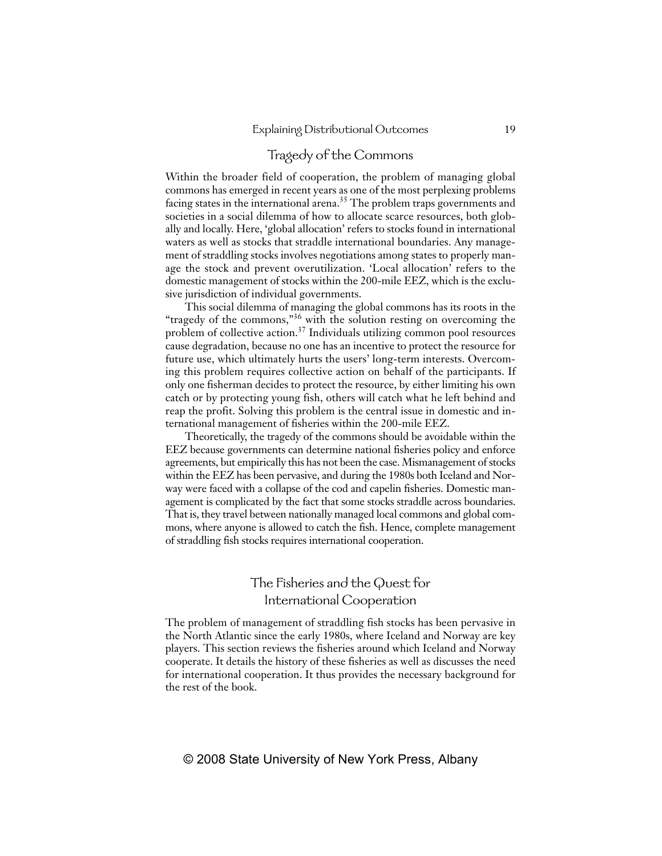# Tragedy of the Commons

Within the broader field of cooperation, the problem of managing global commons has emerged in recent years as one of the most perplexing problems facing states in the international arena.<sup>35</sup> The problem traps governments and societies in a social dilemma of how to allocate scarce resources, both globally and locally. Here, 'global allocation' refers to stocks found in international waters as well as stocks that straddle international boundaries. Any management of straddling stocks involves negotiations among states to properly manage the stock and prevent overutilization. 'Local allocation' refers to the domestic management of stocks within the 200-mile EEZ, which is the exclusive jurisdiction of individual governments.

This social dilemma of managing the global commons has its roots in the "tragedy of the commons,"<sup>36</sup> with the solution resting on overcoming the problem of collective action.<sup>37</sup> Individuals utilizing common pool resources cause degradation, because no one has an incentive to protect the resource for future use, which ultimately hurts the users' long-term interests. Overcoming this problem requires collective action on behalf of the participants. If only one fisherman decides to protect the resource, by either limiting his own catch or by protecting young fish, others will catch what he left behind and reap the profit. Solving this problem is the central issue in domestic and international management of fisheries within the 200-mile EEZ.

Theoretically, the tragedy of the commons should be avoidable within the EEZ because governments can determine national fisheries policy and enforce agreements, but empirically this has not been the case. Mismanagement of stocks within the EEZ has been pervasive, and during the 1980s both Iceland and Norway were faced with a collapse of the cod and capelin fisheries. Domestic management is complicated by the fact that some stocks straddle across boundaries. That is, they travel between nationally managed local commons and global commons, where anyone is allowed to catch the fish. Hence, complete management of straddling fish stocks requires international cooperation.

# The Fisheries and the Quest for International Cooperation

The problem of management of straddling fish stocks has been pervasive in the North Atlantic since the early 1980s, where Iceland and Norway are key players. This section reviews the fisheries around which Iceland and Norway cooperate. It details the history of these fisheries as well as discusses the need for international cooperation. It thus provides the necessary background for the rest of the book.